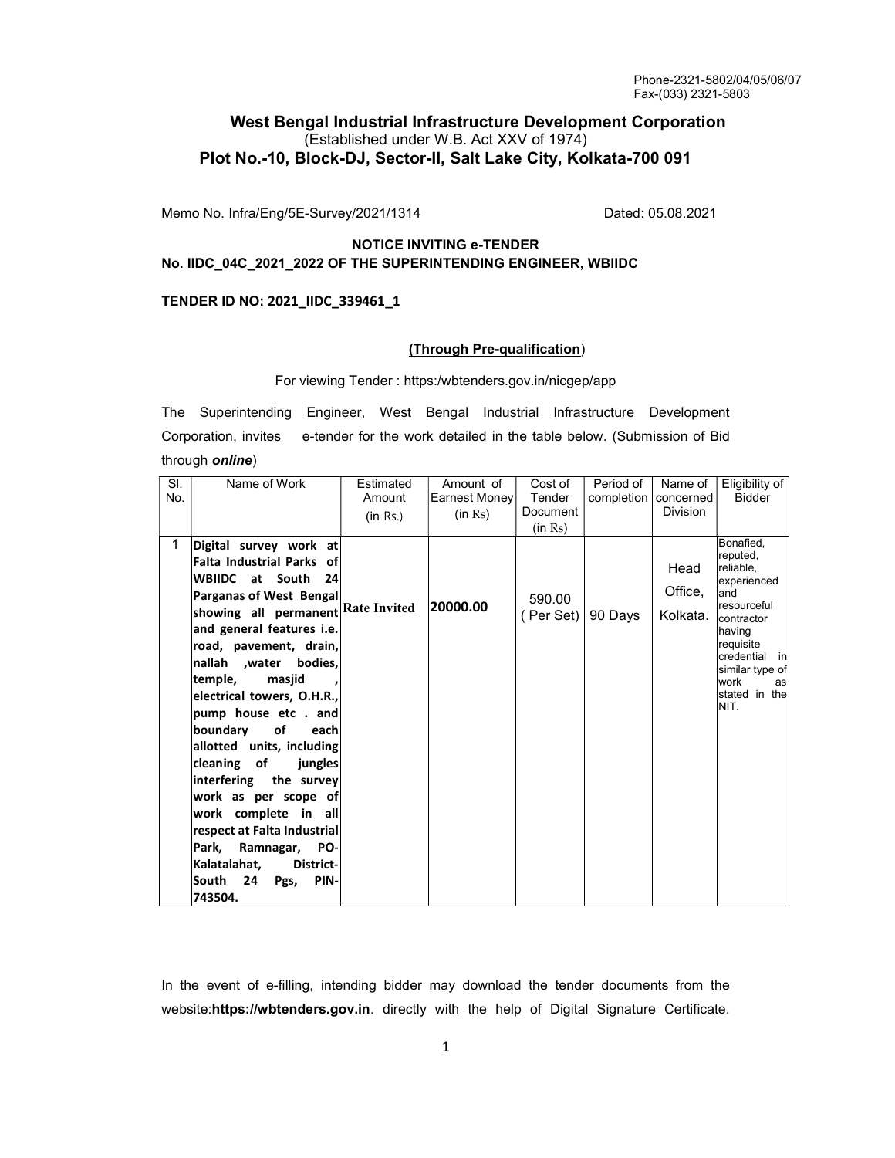## West Bengal Industrial Infrastructure Development Corporation (Established under W.B. Act XXV of 1974) Plot No.-10, Block-DJ, Sector-II, Salt Lake City, Kolkata-700 091

Memo No. Infra/Eng/5E-Survey/2021/1314 Dated: 05.08.2021

## NOTICE INVITING e-TENDER No. IIDC\_04C\_2021\_2022 OF THE SUPERINTENDING ENGINEER, WBIIDC

#### TENDER ID NO: 2021\_IIDC\_339461\_1

#### (Through Pre-qualification)

#### For viewing Tender : https:/wbtenders.gov.in/nicgep/app

The Superintending Engineer, West Bengal Industrial Infrastructure Development Corporation, invites e-tender for the work detailed in the table below. (Submission of Bid through **online**)

| SI.<br>No. | Name of Work                                                                                                                                                                                                                                                                                                                                                                                                                                                                                                                                                                                                    | Estimated<br>Amount<br>(in Rs.) | Amount of<br>Earnest Money<br>(in Rs) | Cost of<br>Tender<br>Document<br>(in Rs) | Period of<br>completion   concerned | Name of<br><b>Division</b>  | Eligibility of<br><b>Bidder</b>                                                                                                                                                         |
|------------|-----------------------------------------------------------------------------------------------------------------------------------------------------------------------------------------------------------------------------------------------------------------------------------------------------------------------------------------------------------------------------------------------------------------------------------------------------------------------------------------------------------------------------------------------------------------------------------------------------------------|---------------------------------|---------------------------------------|------------------------------------------|-------------------------------------|-----------------------------|-----------------------------------------------------------------------------------------------------------------------------------------------------------------------------------------|
| 1.         | Digital survey work at<br><b>Falta Industrial Parks of</b><br>WBIIDC at South<br>- 24<br>Parganas of West Bengal<br>showing all permanent Rate Invited<br>and general features i.e.<br>road, pavement, drain,<br>nallah ,water bodies,<br>masjid<br>temple,<br>electrical towers, O.H.R.,<br>pump house etc . and<br>of<br>boundary<br>each<br>allotted units, including<br>cleaning of<br>jungles<br>interfering the survey<br>work as per scope of<br>work complete in all<br>respect at Falta Industrial<br>Park,<br>Ramnagar,<br>PO-<br>Kalatalahat,<br>District-<br>South<br>24<br>PIN-<br>Pgs,<br>743504. |                                 | 20000.00                              | 590.00<br>(Per Set)                      | 90 Days                             | Head<br>Office,<br>Kolkata. | Bonafied.<br>reputed,<br>reliable,<br>experienced<br>and<br>resourceful<br>contractor<br>having<br>requisite<br>credential in<br>similar type of<br>work<br>as<br>stated in the<br>NIT. |

In the event of e-filling, intending bidder may download the tender documents from the website:https://wbtenders.gov.in. directly with the help of Digital Signature Certificate.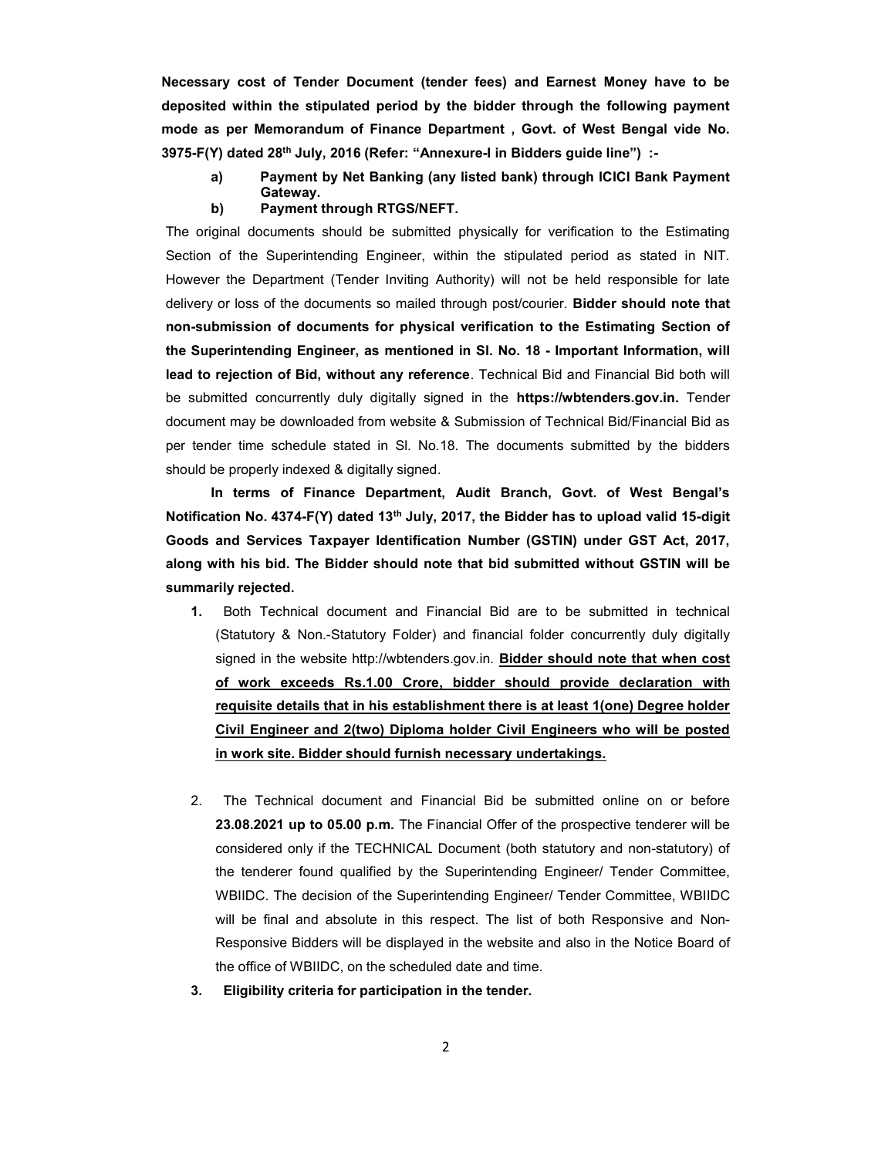Necessary cost of Tender Document (tender fees) and Earnest Money have to be deposited within the stipulated period by the bidder through the following payment mode as per Memorandum of Finance Department , Govt. of West Bengal vide No. 3975-F(Y) dated 28<sup>th</sup> July, 2016 (Refer: "Annexure-I in Bidders guide line") :-

- a) Payment by Net Banking (any listed bank) through ICICI Bank Payment Gateway.
- b) Payment through RTGS/NEFT.

The original documents should be submitted physically for verification to the Estimating Section of the Superintending Engineer, within the stipulated period as stated in NIT. However the Department (Tender Inviting Authority) will not be held responsible for late delivery or loss of the documents so mailed through post/courier. Bidder should note that non-submission of documents for physical verification to the Estimating Section of the Superintending Engineer, as mentioned in Sl. No. 18 - Important Information, will lead to rejection of Bid, without any reference. Technical Bid and Financial Bid both will be submitted concurrently duly digitally signed in the https://wbtenders.gov.in. Tender document may be downloaded from website & Submission of Technical Bid/Financial Bid as per tender time schedule stated in Sl. No.18. The documents submitted by the bidders should be properly indexed & digitally signed.

 In terms of Finance Department, Audit Branch, Govt. of West Bengal's Notification No. 4374-F(Y) dated 13th July, 2017, the Bidder has to upload valid 15-digit Goods and Services Taxpayer Identification Number (GSTIN) under GST Act, 2017, along with his bid. The Bidder should note that bid submitted without GSTIN will be summarily rejected.

- 1. Both Technical document and Financial Bid are to be submitted in technical (Statutory & Non.-Statutory Folder) and financial folder concurrently duly digitally signed in the website http://wbtenders.gov.in. **Bidder should note that when cost** of work exceeds Rs.1.00 Crore, bidder should provide declaration with requisite details that in his establishment there is at least 1(one) Degree holder Civil Engineer and 2(two) Diploma holder Civil Engineers who will be posted in work site. Bidder should furnish necessary undertakings.
- 2. The Technical document and Financial Bid be submitted online on or before 23.08.2021 up to 05.00 p.m. The Financial Offer of the prospective tenderer will be considered only if the TECHNICAL Document (both statutory and non-statutory) of the tenderer found qualified by the Superintending Engineer/ Tender Committee, WBIIDC. The decision of the Superintending Engineer/ Tender Committee, WBIIDC will be final and absolute in this respect. The list of both Responsive and Non-Responsive Bidders will be displayed in the website and also in the Notice Board of the office of WBIIDC, on the scheduled date and time.
- 3. Eligibility criteria for participation in the tender.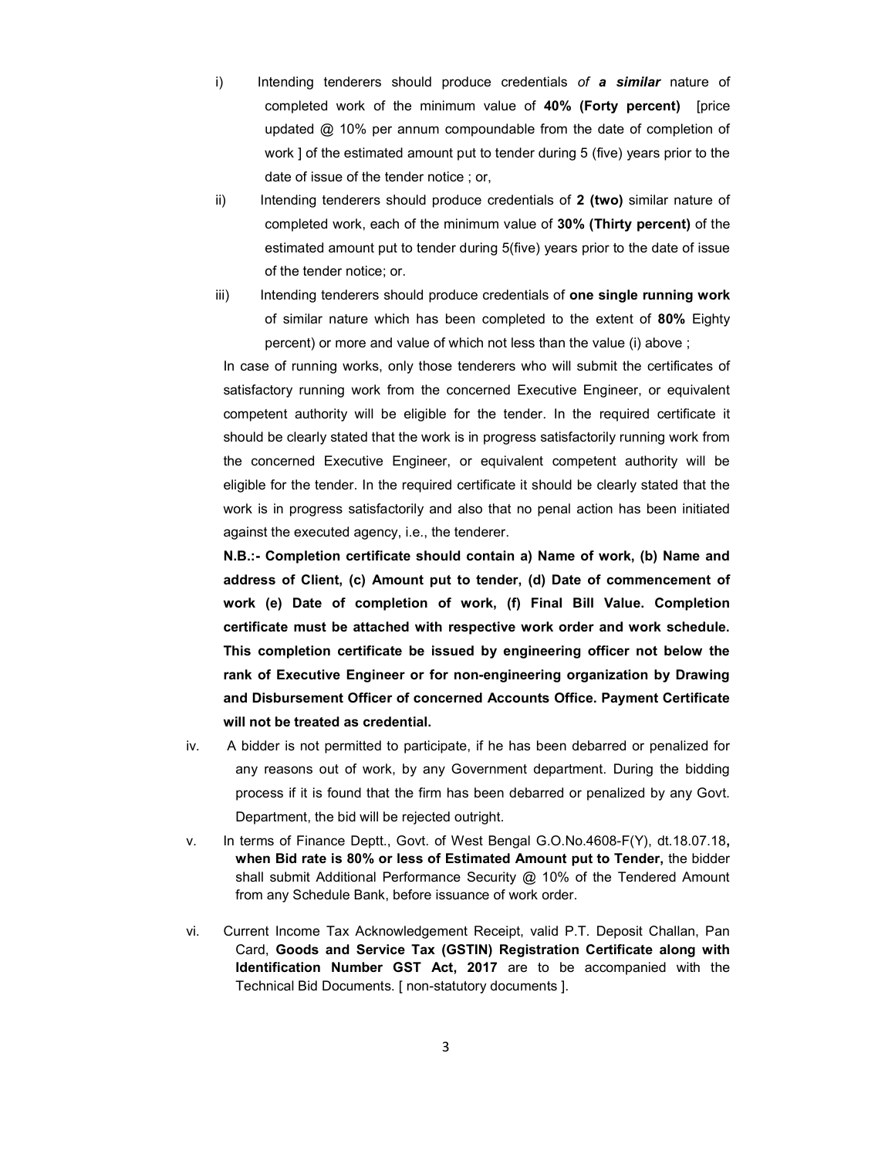- i) Intending tenderers should produce credentials of a similar nature of completed work of the minimum value of 40% (Forty percent) [price updated @ 10% per annum compoundable from the date of completion of work ] of the estimated amount put to tender during 5 (five) years prior to the date of issue of the tender notice ; or,
- ii) Intending tenderers should produce credentials of 2 (two) similar nature of completed work, each of the minimum value of 30% (Thirty percent) of the estimated amount put to tender during 5(five) years prior to the date of issue of the tender notice; or.
- iii) Intending tenderers should produce credentials of one single running work of similar nature which has been completed to the extent of 80% Eighty percent) or more and value of which not less than the value (i) above ;

In case of running works, only those tenderers who will submit the certificates of satisfactory running work from the concerned Executive Engineer, or equivalent competent authority will be eligible for the tender. In the required certificate it should be clearly stated that the work is in progress satisfactorily running work from the concerned Executive Engineer, or equivalent competent authority will be eligible for the tender. In the required certificate it should be clearly stated that the work is in progress satisfactorily and also that no penal action has been initiated against the executed agency, i.e., the tenderer.

N.B.:- Completion certificate should contain a) Name of work, (b) Name and address of Client, (c) Amount put to tender, (d) Date of commencement of work (e) Date of completion of work, (f) Final Bill Value. Completion certificate must be attached with respective work order and work schedule. This completion certificate be issued by engineering officer not below the rank of Executive Engineer or for non-engineering organization by Drawing and Disbursement Officer of concerned Accounts Office. Payment Certificate will not be treated as credential.

- iv. A bidder is not permitted to participate, if he has been debarred or penalized for any reasons out of work, by any Government department. During the bidding process if it is found that the firm has been debarred or penalized by any Govt. Department, the bid will be rejected outright.
- v. In terms of Finance Deptt., Govt. of West Bengal G.O.No.4608-F(Y), dt.18.07.18, when Bid rate is 80% or less of Estimated Amount put to Tender, the bidder shall submit Additional Performance Security @ 10% of the Tendered Amount from any Schedule Bank, before issuance of work order.
- vi. Current Income Tax Acknowledgement Receipt, valid P.T. Deposit Challan, Pan Card, Goods and Service Tax (GSTIN) Registration Certificate along with Identification Number GST Act, 2017 are to be accompanied with the Technical Bid Documents. [ non-statutory documents ].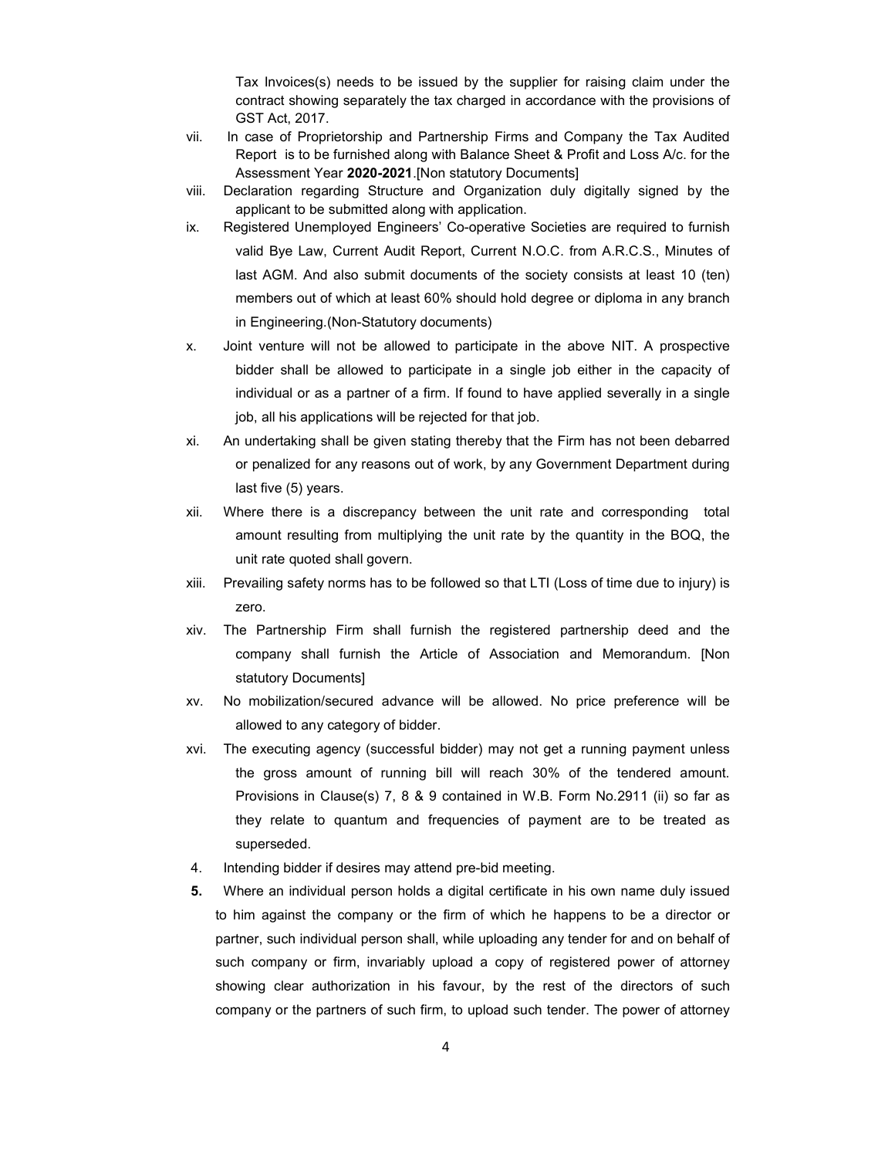Tax Invoices(s) needs to be issued by the supplier for raising claim under the contract showing separately the tax charged in accordance with the provisions of GST Act, 2017.

- vii. In case of Proprietorship and Partnership Firms and Company the Tax Audited Report is to be furnished along with Balance Sheet & Profit and Loss A/c. for the Assessment Year 2020-2021.[Non statutory Documents]
- viii. Declaration regarding Structure and Organization duly digitally signed by the applicant to be submitted along with application.
- ix. Registered Unemployed Engineers' Co-operative Societies are required to furnish valid Bye Law, Current Audit Report, Current N.O.C. from A.R.C.S., Minutes of last AGM. And also submit documents of the society consists at least 10 (ten) members out of which at least 60% should hold degree or diploma in any branch in Engineering.(Non-Statutory documents)
- x. Joint venture will not be allowed to participate in the above NIT. A prospective bidder shall be allowed to participate in a single job either in the capacity of individual or as a partner of a firm. If found to have applied severally in a single job, all his applications will be rejected for that job.
- xi. An undertaking shall be given stating thereby that the Firm has not been debarred or penalized for any reasons out of work, by any Government Department during last five (5) years.
- xii. Where there is a discrepancy between the unit rate and corresponding total amount resulting from multiplying the unit rate by the quantity in the BOQ, the unit rate quoted shall govern.
- xiii. Prevailing safety norms has to be followed so that LTI (Loss of time due to injury) is zero.
- xiv. The Partnership Firm shall furnish the registered partnership deed and the company shall furnish the Article of Association and Memorandum. [Non statutory Documents]
- xv. No mobilization/secured advance will be allowed. No price preference will be allowed to any category of bidder.
- xvi. The executing agency (successful bidder) may not get a running payment unless the gross amount of running bill will reach 30% of the tendered amount. Provisions in Clause(s) 7, 8 & 9 contained in W.B. Form No.2911 (ii) so far as they relate to quantum and frequencies of payment are to be treated as superseded.
- 4. Intending bidder if desires may attend pre-bid meeting.
- 5. Where an individual person holds a digital certificate in his own name duly issued to him against the company or the firm of which he happens to be a director or partner, such individual person shall, while uploading any tender for and on behalf of such company or firm, invariably upload a copy of registered power of attorney showing clear authorization in his favour, by the rest of the directors of such company or the partners of such firm, to upload such tender. The power of attorney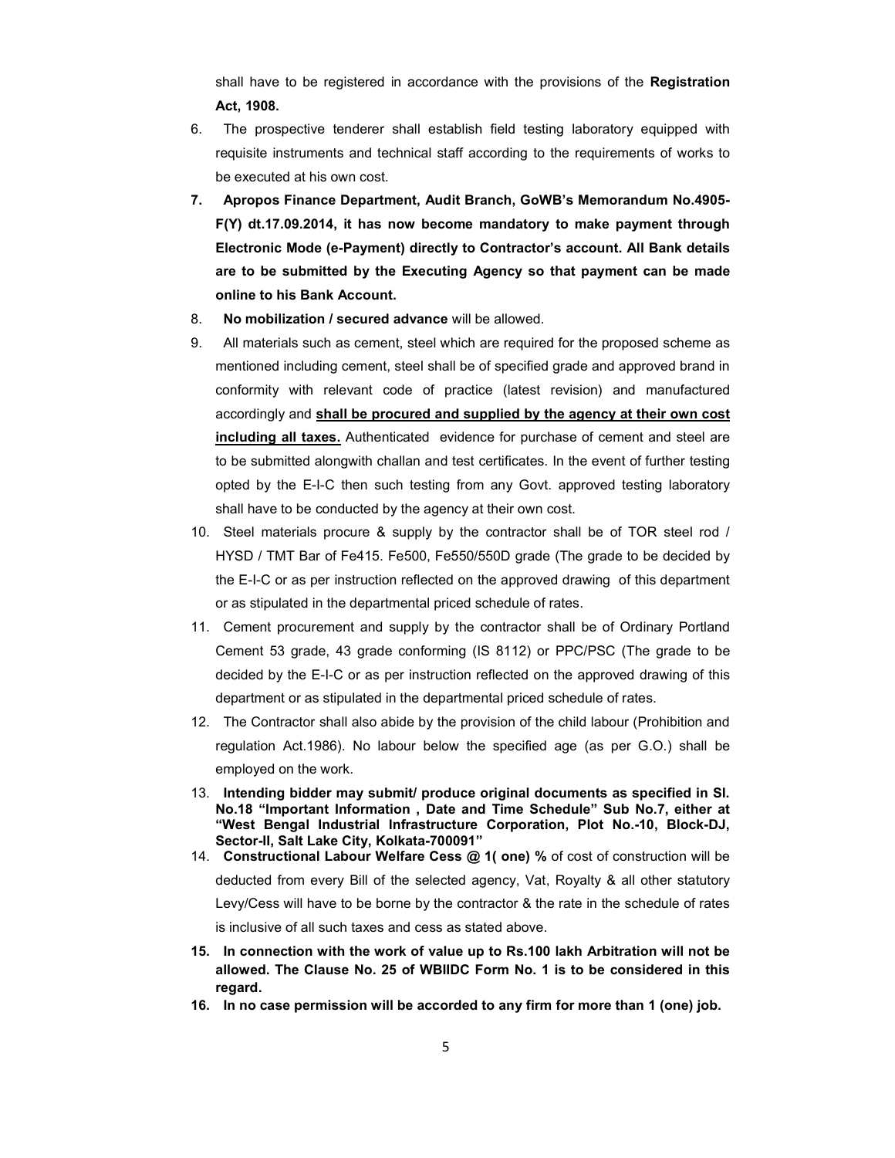shall have to be registered in accordance with the provisions of the **Registration** Act, 1908.

- 6. The prospective tenderer shall establish field testing laboratory equipped with requisite instruments and technical staff according to the requirements of works to be executed at his own cost.
- 7. Apropos Finance Department, Audit Branch, GoWB's Memorandum No.4905- F(Y) dt.17.09.2014, it has now become mandatory to make payment through Electronic Mode (e-Payment) directly to Contractor's account. All Bank details are to be submitted by the Executing Agency so that payment can be made online to his Bank Account.
- 8. No mobilization / secured advance will be allowed.
- 9. All materials such as cement, steel which are required for the proposed scheme as mentioned including cement, steel shall be of specified grade and approved brand in conformity with relevant code of practice (latest revision) and manufactured accordingly and shall be procured and supplied by the agency at their own cost including all taxes. Authenticated evidence for purchase of cement and steel are to be submitted alongwith challan and test certificates. In the event of further testing opted by the E-I-C then such testing from any Govt. approved testing laboratory shall have to be conducted by the agency at their own cost.
- 10. Steel materials procure & supply by the contractor shall be of TOR steel rod / HYSD / TMT Bar of Fe415. Fe500, Fe550/550D grade (The grade to be decided by the E-I-C or as per instruction reflected on the approved drawing of this department or as stipulated in the departmental priced schedule of rates.
- 11. Cement procurement and supply by the contractor shall be of Ordinary Portland Cement 53 grade, 43 grade conforming (IS 8112) or PPC/PSC (The grade to be decided by the E-I-C or as per instruction reflected on the approved drawing of this department or as stipulated in the departmental priced schedule of rates.
- 12. The Contractor shall also abide by the provision of the child labour (Prohibition and regulation Act.1986). No labour below the specified age (as per G.O.) shall be employed on the work.
- 13. Intending bidder may submit/ produce original documents as specified in Sl. No.18 "Important Information , Date and Time Schedule" Sub No.7, either at "West Bengal Industrial Infrastructure Corporation, Plot No.-10, Block-DJ, Sector-II, Salt Lake City, Kolkata-700091"
- 14. Constructional Labour Welfare Cess @ 1( one) % of cost of construction will be deducted from every Bill of the selected agency, Vat, Royalty & all other statutory Levy/Cess will have to be borne by the contractor & the rate in the schedule of rates is inclusive of all such taxes and cess as stated above.
- 15. In connection with the work of value up to Rs.100 lakh Arbitration will not be allowed. The Clause No. 25 of WBIIDC Form No. 1 is to be considered in this regard.
- 16. In no case permission will be accorded to any firm for more than 1 (one) job.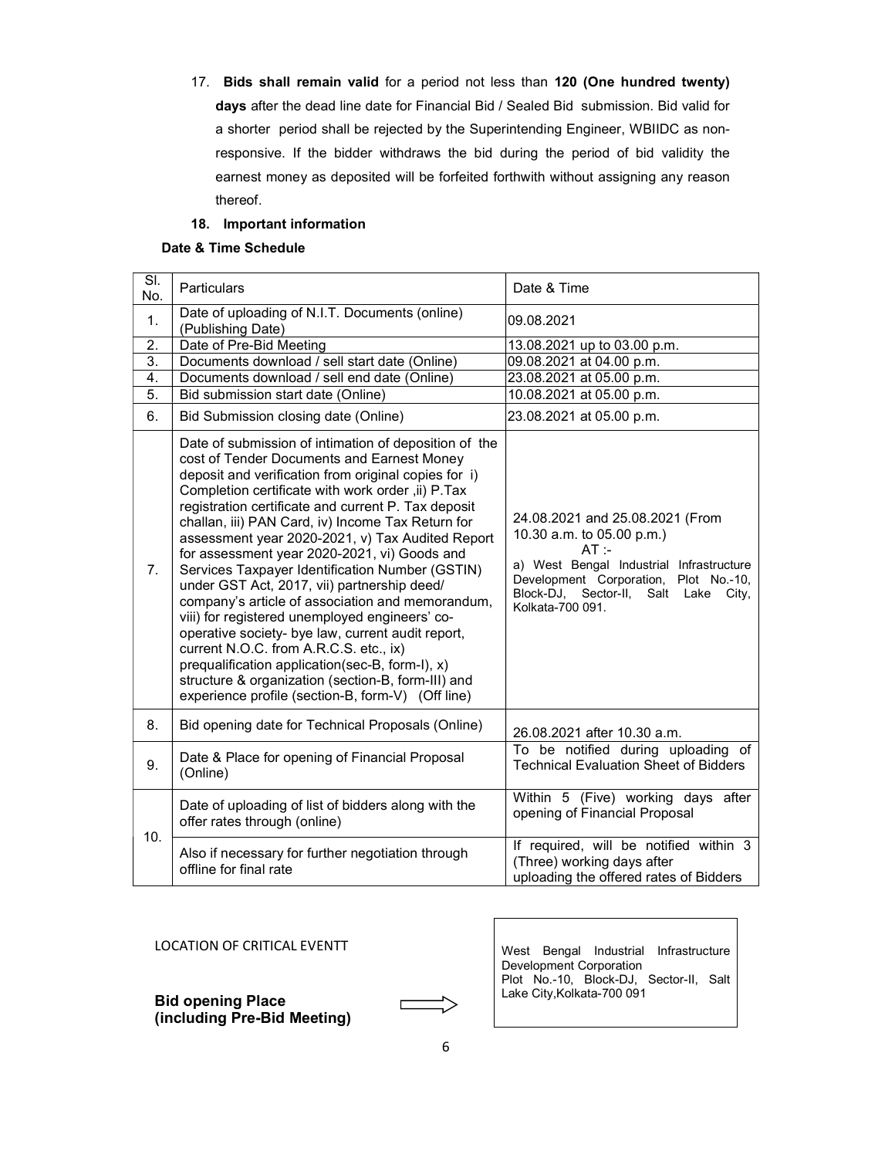17. Bids shall remain valid for a period not less than 120 (One hundred twenty) days after the dead line date for Financial Bid / Sealed Bid submission. Bid valid for a shorter period shall be rejected by the Superintending Engineer, WBIIDC as nonresponsive. If the bidder withdraws the bid during the period of bid validity the earnest money as deposited will be forfeited forthwith without assigning any reason thereof.

## 18. Important information

## Date & Time Schedule

| $\overline{\mathsf{SI}}$ .<br>No. | <b>Particulars</b>                                                                                                                                                                                                                                                                                                                                                                                                                                                                                                                                                                                                                                                                                                                                                                                                                                                                                    | Date & Time                                                                                                                                                                                                                |  |  |  |
|-----------------------------------|-------------------------------------------------------------------------------------------------------------------------------------------------------------------------------------------------------------------------------------------------------------------------------------------------------------------------------------------------------------------------------------------------------------------------------------------------------------------------------------------------------------------------------------------------------------------------------------------------------------------------------------------------------------------------------------------------------------------------------------------------------------------------------------------------------------------------------------------------------------------------------------------------------|----------------------------------------------------------------------------------------------------------------------------------------------------------------------------------------------------------------------------|--|--|--|
| $\mathbf{1}$ .                    | Date of uploading of N.I.T. Documents (online)<br>(Publishing Date)                                                                                                                                                                                                                                                                                                                                                                                                                                                                                                                                                                                                                                                                                                                                                                                                                                   | 09.08.2021                                                                                                                                                                                                                 |  |  |  |
| 2.                                | Date of Pre-Bid Meeting                                                                                                                                                                                                                                                                                                                                                                                                                                                                                                                                                                                                                                                                                                                                                                                                                                                                               | 13.08.2021 up to 03.00 p.m.                                                                                                                                                                                                |  |  |  |
| 3.                                | Documents download / sell start date (Online)                                                                                                                                                                                                                                                                                                                                                                                                                                                                                                                                                                                                                                                                                                                                                                                                                                                         | 09.08.2021 at 04.00 p.m.                                                                                                                                                                                                   |  |  |  |
| 4.                                | Documents download / sell end date (Online)                                                                                                                                                                                                                                                                                                                                                                                                                                                                                                                                                                                                                                                                                                                                                                                                                                                           | 23.08.2021 at 05.00 p.m.                                                                                                                                                                                                   |  |  |  |
| $\overline{5}$ .                  | Bid submission start date (Online)                                                                                                                                                                                                                                                                                                                                                                                                                                                                                                                                                                                                                                                                                                                                                                                                                                                                    | 10.08.2021 at 05.00 p.m.                                                                                                                                                                                                   |  |  |  |
| 6.                                | Bid Submission closing date (Online)                                                                                                                                                                                                                                                                                                                                                                                                                                                                                                                                                                                                                                                                                                                                                                                                                                                                  | 23.08.2021 at 05.00 p.m.                                                                                                                                                                                                   |  |  |  |
| 7.                                | Date of submission of intimation of deposition of the<br>cost of Tender Documents and Earnest Money<br>deposit and verification from original copies for i)<br>Completion certificate with work order, ii) P.Tax<br>registration certificate and current P. Tax deposit<br>challan, iii) PAN Card, iv) Income Tax Return for<br>assessment year 2020-2021, v) Tax Audited Report<br>for assessment year 2020-2021, vi) Goods and<br>Services Taxpayer Identification Number (GSTIN)<br>under GST Act, 2017, vii) partnership deed/<br>company's article of association and memorandum,<br>viii) for registered unemployed engineers' co-<br>operative society- bye law, current audit report,<br>current N.O.C. from A.R.C.S. etc., ix)<br>prequalification application(sec-B, form-I), x)<br>structure & organization (section-B, form-III) and<br>experience profile (section-B, form-V) (Off line) | 24.08.2021 and 25.08.2021 (From<br>10.30 a.m. to 05.00 p.m.)<br>$AT -$<br>a) West Bengal Industrial Infrastructure<br>Development Corporation, Plot No.-10,<br>Block-DJ, Sector-II, Salt Lake<br>City,<br>Kolkata-700 091. |  |  |  |
| 8.                                | Bid opening date for Technical Proposals (Online)                                                                                                                                                                                                                                                                                                                                                                                                                                                                                                                                                                                                                                                                                                                                                                                                                                                     | 26.08.2021 after 10.30 a.m.                                                                                                                                                                                                |  |  |  |
| 9.                                | Date & Place for opening of Financial Proposal<br>(Online)                                                                                                                                                                                                                                                                                                                                                                                                                                                                                                                                                                                                                                                                                                                                                                                                                                            | To be notified during uploading of<br><b>Technical Evaluation Sheet of Bidders</b>                                                                                                                                         |  |  |  |
| 10.                               | Date of uploading of list of bidders along with the<br>offer rates through (online)                                                                                                                                                                                                                                                                                                                                                                                                                                                                                                                                                                                                                                                                                                                                                                                                                   | Within 5 (Five) working days after<br>opening of Financial Proposal                                                                                                                                                        |  |  |  |
|                                   | Also if necessary for further negotiation through<br>offline for final rate                                                                                                                                                                                                                                                                                                                                                                                                                                                                                                                                                                                                                                                                                                                                                                                                                           | If required, will be notified within 3<br>(Three) working days after<br>uploading the offered rates of Bidders                                                                                                             |  |  |  |

## LOCATION OF CRITICAL EVENTT

Bid opening Place (including Pre-Bid Meeting) West Bengal Industrial Infrastructure Development Corporation Plot No.-10, Block-DJ, Sector-II, Salt Lake City,Kolkata-700 091

 $\overline{\phantom{a}}$ 

г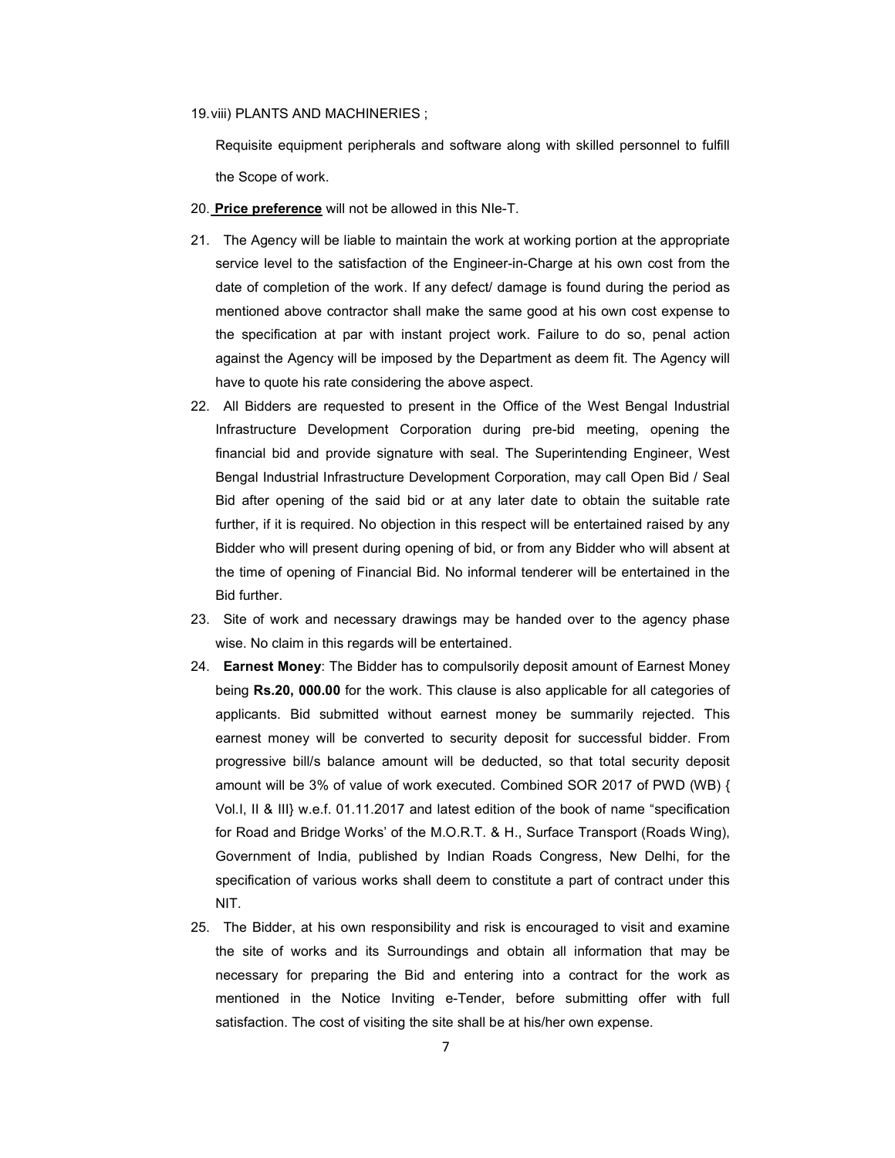#### 19. viii) PLANTS AND MACHINERIES ;

Requisite equipment peripherals and software along with skilled personnel to fulfill the Scope of work.

- 20. Price preference will not be allowed in this NIe-T.
- 21. The Agency will be liable to maintain the work at working portion at the appropriate service level to the satisfaction of the Engineer-in-Charge at his own cost from the date of completion of the work. If any defect/ damage is found during the period as mentioned above contractor shall make the same good at his own cost expense to the specification at par with instant project work. Failure to do so, penal action against the Agency will be imposed by the Department as deem fit. The Agency will have to quote his rate considering the above aspect.
- 22. All Bidders are requested to present in the Office of the West Bengal Industrial Infrastructure Development Corporation during pre-bid meeting, opening the financial bid and provide signature with seal. The Superintending Engineer, West Bengal Industrial Infrastructure Development Corporation, may call Open Bid / Seal Bid after opening of the said bid or at any later date to obtain the suitable rate further, if it is required. No objection in this respect will be entertained raised by any Bidder who will present during opening of bid, or from any Bidder who will absent at the time of opening of Financial Bid. No informal tenderer will be entertained in the Bid further.
- 23. Site of work and necessary drawings may be handed over to the agency phase wise. No claim in this regards will be entertained.
- 24. Earnest Money: The Bidder has to compulsorily deposit amount of Earnest Money being Rs.20, 000.00 for the work. This clause is also applicable for all categories of applicants. Bid submitted without earnest money be summarily rejected. This earnest money will be converted to security deposit for successful bidder. From progressive bill/s balance amount will be deducted, so that total security deposit amount will be 3% of value of work executed. Combined SOR 2017 of PWD (WB) { Vol.I, II & III} w.e.f. 01.11.2017 and latest edition of the book of name "specification for Road and Bridge Works' of the M.O.R.T. & H., Surface Transport (Roads Wing), Government of India, published by Indian Roads Congress, New Delhi, for the specification of various works shall deem to constitute a part of contract under this NIT.
- 25. The Bidder, at his own responsibility and risk is encouraged to visit and examine the site of works and its Surroundings and obtain all information that may be necessary for preparing the Bid and entering into a contract for the work as mentioned in the Notice Inviting e-Tender, before submitting offer with full satisfaction. The cost of visiting the site shall be at his/her own expense.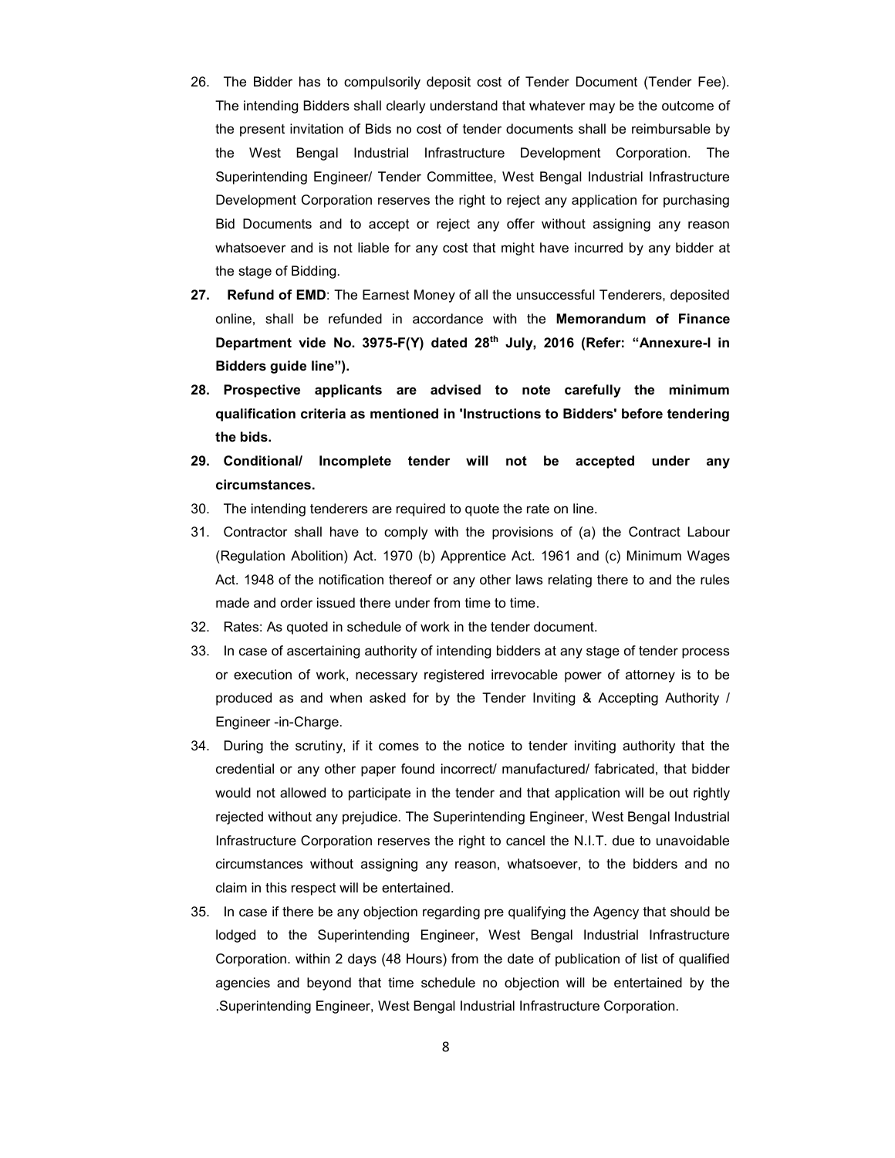- 26. The Bidder has to compulsorily deposit cost of Tender Document (Tender Fee). The intending Bidders shall clearly understand that whatever may be the outcome of the present invitation of Bids no cost of tender documents shall be reimbursable by the West Bengal Industrial Infrastructure Development Corporation. The Superintending Engineer/ Tender Committee, West Bengal Industrial Infrastructure Development Corporation reserves the right to reject any application for purchasing Bid Documents and to accept or reject any offer without assigning any reason whatsoever and is not liable for any cost that might have incurred by any bidder at the stage of Bidding.
- 27. Refund of EMD: The Earnest Money of all the unsuccessful Tenderers, deposited online, shall be refunded in accordance with the Memorandum of Finance Department vide No. 3975-F(Y) dated 28th July, 2016 (Refer: "Annexure-I in Bidders guide line").
- 28. Prospective applicants are advised to note carefully the minimum qualification criteria as mentioned in 'Instructions to Bidders' before tendering the bids.
- 29. Conditional/ Incomplete tender will not be accepted under any circumstances.
- 30. The intending tenderers are required to quote the rate on line.
- 31. Contractor shall have to comply with the provisions of (a) the Contract Labour (Regulation Abolition) Act. 1970 (b) Apprentice Act. 1961 and (c) Minimum Wages Act. 1948 of the notification thereof or any other laws relating there to and the rules made and order issued there under from time to time.
- 32. Rates: As quoted in schedule of work in the tender document.
- 33. In case of ascertaining authority of intending bidders at any stage of tender process or execution of work, necessary registered irrevocable power of attorney is to be produced as and when asked for by the Tender Inviting & Accepting Authority / Engineer -in-Charge.
- 34. During the scrutiny, if it comes to the notice to tender inviting authority that the credential or any other paper found incorrect/ manufactured/ fabricated, that bidder would not allowed to participate in the tender and that application will be out rightly rejected without any prejudice. The Superintending Engineer, West Bengal Industrial Infrastructure Corporation reserves the right to cancel the N.I.T. due to unavoidable circumstances without assigning any reason, whatsoever, to the bidders and no claim in this respect will be entertained.
- 35. In case if there be any objection regarding pre qualifying the Agency that should be lodged to the Superintending Engineer, West Bengal Industrial Infrastructure Corporation. within 2 days (48 Hours) from the date of publication of list of qualified agencies and beyond that time schedule no objection will be entertained by the .Superintending Engineer, West Bengal Industrial Infrastructure Corporation.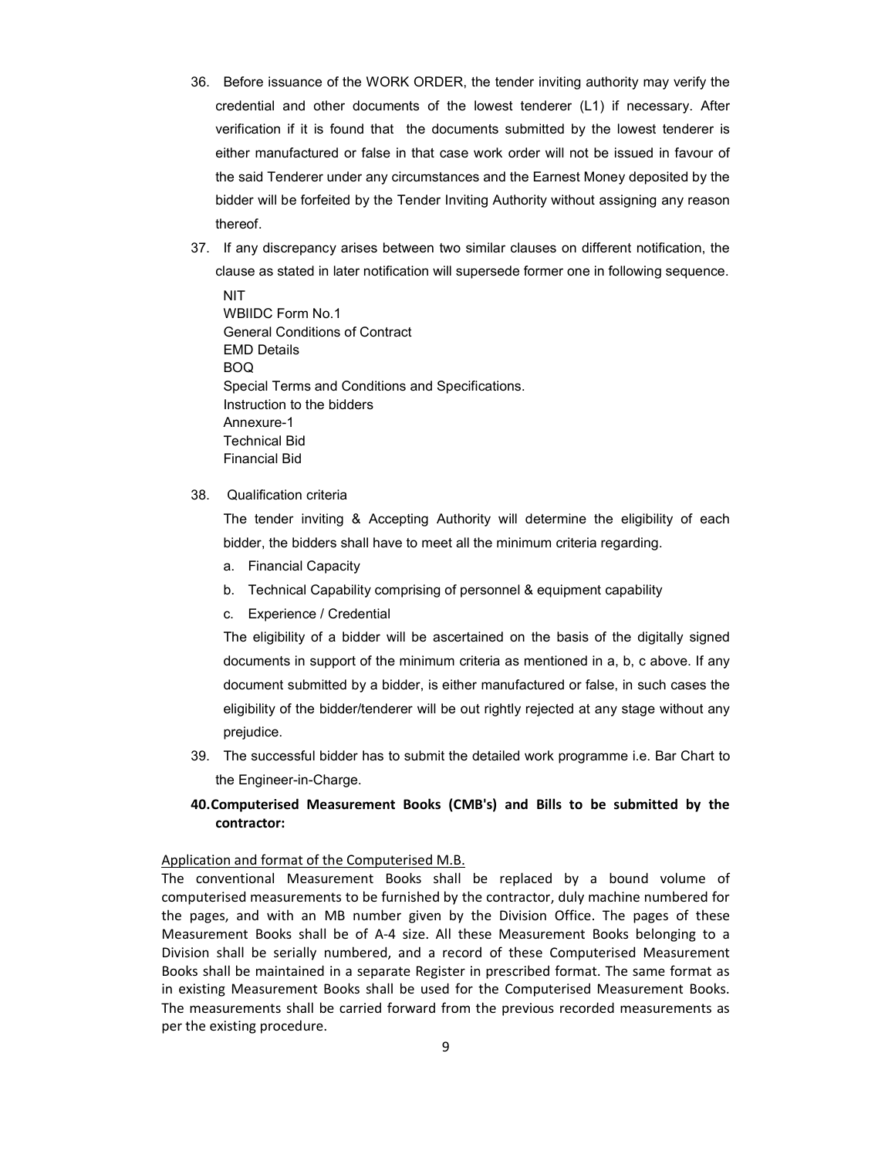- 36. Before issuance of the WORK ORDER, the tender inviting authority may verify the credential and other documents of the lowest tenderer (L1) if necessary. After verification if it is found that the documents submitted by the lowest tenderer is either manufactured or false in that case work order will not be issued in favour of the said Tenderer under any circumstances and the Earnest Money deposited by the bidder will be forfeited by the Tender Inviting Authority without assigning any reason thereof.
- 37. If any discrepancy arises between two similar clauses on different notification, the clause as stated in later notification will supersede former one in following sequence.
	- **NIT** WBIIDC Form No.1 General Conditions of Contract EMD Details BOQ Special Terms and Conditions and Specifications. Instruction to the bidders Annexure-1 Technical Bid Financial Bid

#### 38. Qualification criteria

The tender inviting & Accepting Authority will determine the eligibility of each bidder, the bidders shall have to meet all the minimum criteria regarding.

- a. Financial Capacity
- b. Technical Capability comprising of personnel & equipment capability
- c. Experience / Credential

The eligibility of a bidder will be ascertained on the basis of the digitally signed documents in support of the minimum criteria as mentioned in a, b, c above. If any document submitted by a bidder, is either manufactured or false, in such cases the eligibility of the bidder/tenderer will be out rightly rejected at any stage without any prejudice.

39. The successful bidder has to submit the detailed work programme i.e. Bar Chart to the Engineer-in-Charge.

## 40.Computerised Measurement Books (CMB's) and Bills to be submitted by the contractor:

## Application and format of the Computerised M.B.

The conventional Measurement Books shall be replaced by a bound volume of computerised measurements to be furnished by the contractor, duly machine numbered for the pages, and with an MB number given by the Division Office. The pages of these Measurement Books shall be of A-4 size. All these Measurement Books belonging to a Division shall be serially numbered, and a record of these Computerised Measurement Books shall be maintained in a separate Register in prescribed format. The same format as in existing Measurement Books shall be used for the Computerised Measurement Books. The measurements shall be carried forward from the previous recorded measurements as per the existing procedure.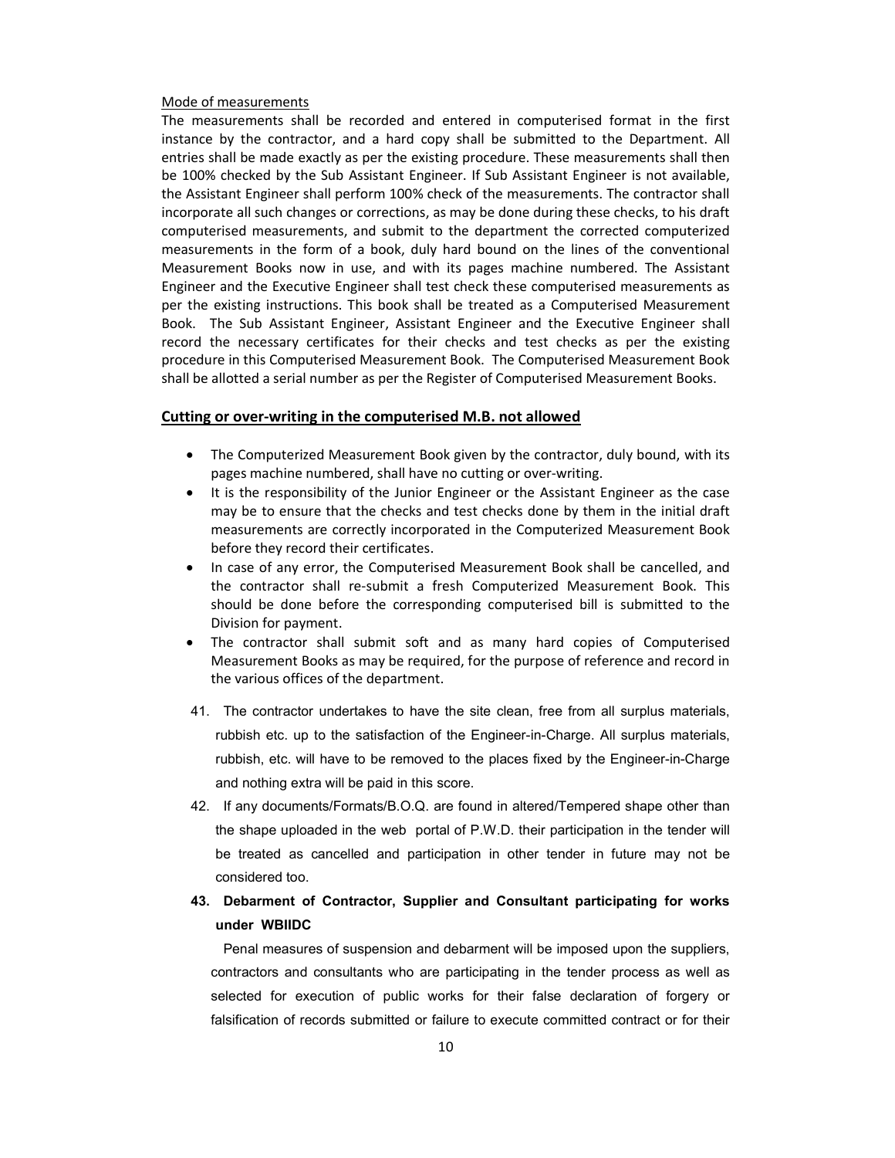#### Mode of measurements

The measurements shall be recorded and entered in computerised format in the first instance by the contractor, and a hard copy shall be submitted to the Department. All entries shall be made exactly as per the existing procedure. These measurements shall then be 100% checked by the Sub Assistant Engineer. If Sub Assistant Engineer is not available, the Assistant Engineer shall perform 100% check of the measurements. The contractor shall incorporate all such changes or corrections, as may be done during these checks, to his draft computerised measurements, and submit to the department the corrected computerized measurements in the form of a book, duly hard bound on the lines of the conventional Measurement Books now in use, and with its pages machine numbered. The Assistant Engineer and the Executive Engineer shall test check these computerised measurements as per the existing instructions. This book shall be treated as a Computerised Measurement Book. The Sub Assistant Engineer, Assistant Engineer and the Executive Engineer shall record the necessary certificates for their checks and test checks as per the existing procedure in this Computerised Measurement Book. The Computerised Measurement Book shall be allotted a serial number as per the Register of Computerised Measurement Books.

#### Cutting or over-writing in the computerised M.B. not allowed

- The Computerized Measurement Book given by the contractor, duly bound, with its pages machine numbered, shall have no cutting or over-writing.
- It is the responsibility of the Junior Engineer or the Assistant Engineer as the case may be to ensure that the checks and test checks done by them in the initial draft measurements are correctly incorporated in the Computerized Measurement Book before they record their certificates.
- In case of any error, the Computerised Measurement Book shall be cancelled, and the contractor shall re-submit a fresh Computerized Measurement Book. This should be done before the corresponding computerised bill is submitted to the Division for payment.
- The contractor shall submit soft and as many hard copies of Computerised Measurement Books as may be required, for the purpose of reference and record in the various offices of the department.
- 41. The contractor undertakes to have the site clean, free from all surplus materials, rubbish etc. up to the satisfaction of the Engineer-in-Charge. All surplus materials, rubbish, etc. will have to be removed to the places fixed by the Engineer-in-Charge and nothing extra will be paid in this score.
- 42. If any documents/Formats/B.O.Q. are found in altered/Tempered shape other than the shape uploaded in the web portal of P.W.D. their participation in the tender will be treated as cancelled and participation in other tender in future may not be considered too.

# 43. Debarment of Contractor, Supplier and Consultant participating for works under WBIIDC

Penal measures of suspension and debarment will be imposed upon the suppliers, contractors and consultants who are participating in the tender process as well as selected for execution of public works for their false declaration of forgery or falsification of records submitted or failure to execute committed contract or for their